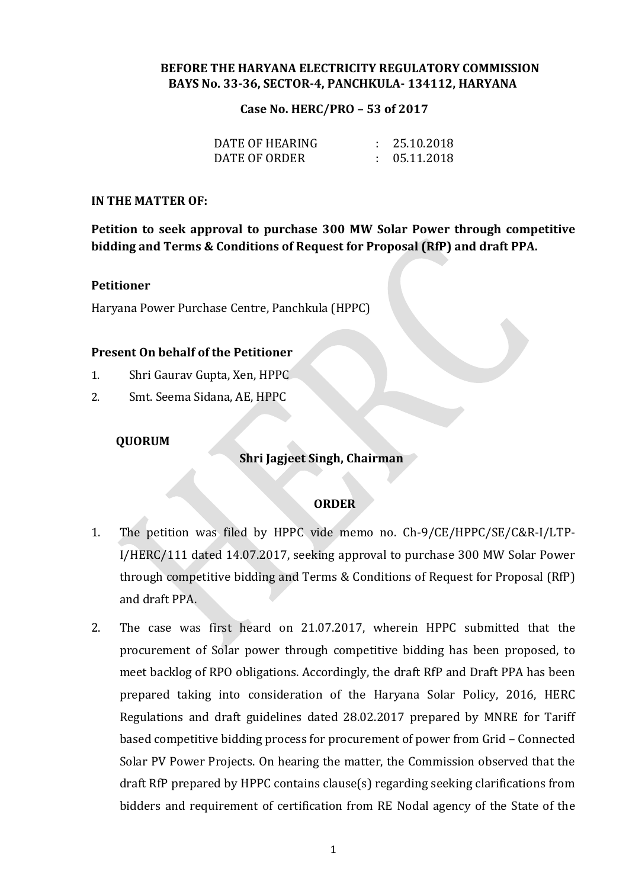# **BEFORE THE HARYANA ELECTRICITY REGULATORY COMMISSION BAYS No. 33-36, SECTOR-4, PANCHKULA- 134112, HARYANA**

#### **Case No. HERC/PRO – 53 of 2017**

| DATE OF HEARING | : 25.10.2018 |
|-----------------|--------------|
| DATE OF ORDER   | : 05.11.2018 |

#### **IN THE MATTER OF:**

**Petition to seek approval to purchase 300 MW Solar Power through competitive bidding and Terms & Conditions of Request for Proposal (RfP) and draft PPA.**

## **Petitioner**

Haryana Power Purchase Centre, Panchkula (HPPC)

## **Present On behalf of the Petitioner**

- 1. Shri Gaurav Gupta, Xen, HPPC
- 2. Smt. Seema Sidana, AE, HPPC

# **QUORUM**

# **Shri Jagjeet Singh, Chairman**

# **ORDER**

- 1. The petition was filed by HPPC vide memo no. Ch-9/CE/HPPC/SE/C&R-I/LTP-I/HERC/111 dated 14.07.2017, seeking approval to purchase 300 MW Solar Power through competitive bidding and Terms & Conditions of Request for Proposal (RfP) and draft PPA.
- 2. The case was first heard on 21.07.2017, wherein HPPC submitted that the procurement of Solar power through competitive bidding has been proposed, to meet backlog of RPO obligations. Accordingly, the draft RfP and Draft PPA has been prepared taking into consideration of the Haryana Solar Policy, 2016, HERC Regulations and draft guidelines dated 28.02.2017 prepared by MNRE for Tariff based competitive bidding process for procurement of power from Grid – Connected Solar PV Power Projects. On hearing the matter, the Commission observed that the draft RfP prepared by HPPC contains clause(s) regarding seeking clarifications from bidders and requirement of certification from RE Nodal agency of the State of the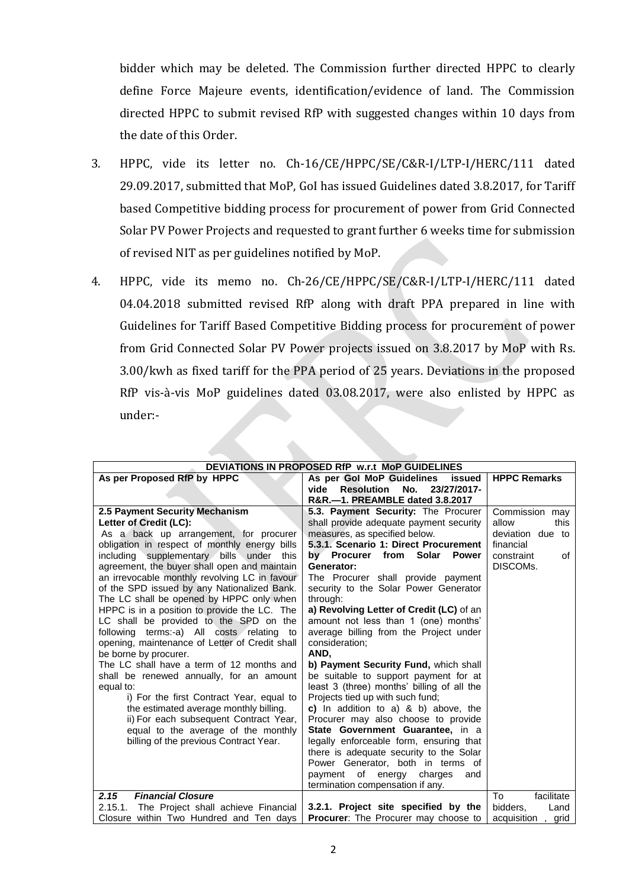bidder which may be deleted. The Commission further directed HPPC to clearly define Force Majeure events, identification/evidence of land. The Commission directed HPPC to submit revised RfP with suggested changes within 10 days from the date of this Order.

- 3. HPPC, vide its letter no. Ch-16/CE/HPPC/SE/C&R-I/LTP-I/HERC/111 dated 29.09.2017, submitted that MoP, GoI has issued Guidelines dated 3.8.2017, for Tariff based Competitive bidding process for procurement of power from Grid Connected Solar PV Power Projects and requested to grant further 6 weeks time for submission of revised NIT as per guidelines notified by MoP.
- 4. HPPC, vide its memo no. Ch-26/CE/HPPC/SE/C&R-I/LTP-I/HERC/111 dated 04.04.2018 submitted revised RfP along with draft PPA prepared in line with Guidelines for Tariff Based Competitive Bidding process for procurement of power from Grid Connected Solar PV Power projects issued on 3.8.2017 by MoP with Rs. 3.00/kwh as fixed tariff for the PPA period of 25 years. Deviations in the proposed RfP vis-à-vis MoP guidelines dated 03.08.2017, were also enlisted by HPPC as under:-

| DEVIATIONS IN PROPOSED RfP w.r.t MoP GUIDELINES |                                                                         |                       |  |  |
|-------------------------------------------------|-------------------------------------------------------------------------|-----------------------|--|--|
| As per Proposed RfP by HPPC                     | As per Gol MoP Guidelines<br>issued                                     |                       |  |  |
|                                                 | <b>Resolution</b><br>No.<br>23/27/2017-<br>vide                         |                       |  |  |
|                                                 | R&R,-1. PREAMBLE dated 3.8.2017                                         |                       |  |  |
| 2.5 Payment Security Mechanism                  | 5.3. Payment Security: The Procurer                                     | Commission may        |  |  |
| Letter of Credit (LC):                          | shall provide adequate payment security                                 | allow<br>this         |  |  |
| As a back up arrangement, for procurer          | measures, as specified below.                                           | deviation due to      |  |  |
| obligation in respect of monthly energy bills   | 5.3.1. Scenario 1: Direct Procurement                                   | financial             |  |  |
| including supplementary bills under<br>this     | by Procurer from Solar<br><b>Power</b>                                  | constraint<br>of      |  |  |
| agreement, the buyer shall open and maintain    | Generator:                                                              | DISCOM <sub>s</sub> . |  |  |
| an irrevocable monthly revolving LC in favour   | The Procurer shall provide payment                                      |                       |  |  |
| of the SPD issued by any Nationalized Bank.     | security to the Solar Power Generator                                   |                       |  |  |
| The LC shall be opened by HPPC only when        | through:                                                                |                       |  |  |
| HPPC is in a position to provide the LC. The    | a) Revolving Letter of Credit (LC) of an                                |                       |  |  |
| LC shall be provided to the SPD on the          | amount not less than 1 (one) months'                                    |                       |  |  |
| following terms:-a) All costs relating to       | average billing from the Project under                                  |                       |  |  |
| opening, maintenance of Letter of Credit shall  | consideration:                                                          |                       |  |  |
| be borne by procurer.                           | AND,                                                                    |                       |  |  |
| The LC shall have a term of 12 months and       | b) Payment Security Fund, which shall                                   |                       |  |  |
| shall be renewed annually, for an amount        | be suitable to support payment for at                                   |                       |  |  |
| equal to:                                       | least 3 (three) months' billing of all the                              |                       |  |  |
| i) For the first Contract Year, equal to        | Projects tied up with such fund;                                        |                       |  |  |
| the estimated average monthly billing.          | c) In addition to a) $\&$ b) above, the                                 |                       |  |  |
| ii) For each subsequent Contract Year,          | Procurer may also choose to provide<br>State Government Guarantee, in a |                       |  |  |
| equal to the average of the monthly             |                                                                         |                       |  |  |
| billing of the previous Contract Year.          | legally enforceable form, ensuring that                                 |                       |  |  |
|                                                 | there is adequate security to the Solar                                 |                       |  |  |
|                                                 | Power Generator, both in terms of<br>payment of energy charges<br>and   |                       |  |  |
|                                                 | termination compensation if any.                                        |                       |  |  |
| <b>Financial Closure</b><br>2.15                |                                                                         | Tο.<br>facilitate     |  |  |
| The Project shall achieve Financial<br>2.15.1.  | 3.2.1. Project site specified by the                                    | bidders,<br>Land      |  |  |
| Closure within Two Hundred and Ten davs         | <b>Procurer:</b> The Procurer may choose to                             | acquisition<br>, grid |  |  |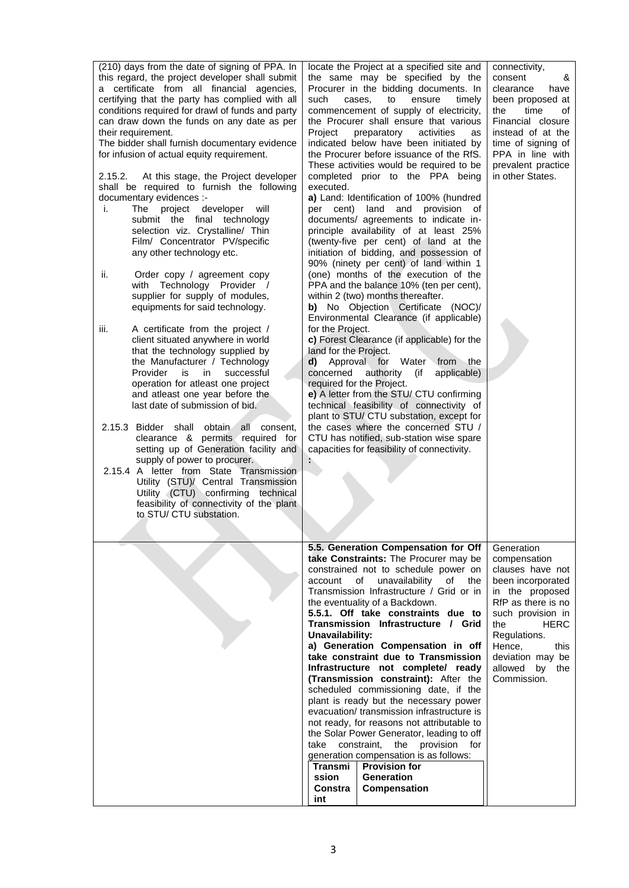| (210) days from the date of signing of PPA. In<br>this regard, the project developer shall submit<br>a certificate from all financial agencies,<br>certifying that the party has complied with all<br>conditions required for drawl of funds and party<br>can draw down the funds on any date as per<br>their requirement.<br>The bidder shall furnish documentary evidence<br>for infusion of actual equity requirement.<br>At this stage, the Project developer<br>2.15.2.<br>shall be required to furnish the following<br>documentary evidences :-<br>project developer<br>will<br>j.<br>The<br>submit the final technology<br>selection viz. Crystalline/ Thin<br>Film/ Concentrator PV/specific<br>any other technology etc.<br>ii.<br>Order copy / agreement copy<br>with Technology Provider /<br>supplier for supply of modules,<br>equipments for said technology.<br>iii.<br>A certificate from the project /<br>client situated anywhere in world<br>that the technology supplied by<br>the Manufacturer / Technology<br>Provider<br>is<br>in.<br>successful<br>operation for atleast one project<br>and atleast one year before the<br>last date of submission of bid.<br>2.15.3 Bidder shall<br>obtain<br>all<br>consent,<br>clearance & permits required for<br>setting up of Generation facility and<br>supply of power to procurer.<br>2.15.4 A letter from State Transmission<br>Utility (STU)/ Central Transmission<br>Utility (CTU) confirming technical<br>feasibility of connectivity of the plant<br>to STU/ CTU substation. | locate the Project at a specified site and<br>the same may be specified by the<br>consent<br>Procurer in the bidding documents. In<br>ensure<br>timely<br>such<br>cases,<br>to<br>commencement of supply of electricity,<br>the<br>the Procurer shall ensure that various<br>Project<br>activities<br>preparatory<br>as<br>indicated below have been initiated by<br>the Procurer before issuance of the RfS.<br>These activities would be required to be<br>completed prior to the PPA being<br>executed.<br>a) Land: Identification of 100% (hundred<br>per cent) land and provision<br>of<br>documents/ agreements to indicate in-<br>principle availability of at least 25%<br>(twenty-five per cent) of land at the<br>initiation of bidding, and possession of<br>90% (ninety per cent) of land within 1<br>(one) months of the execution of the<br>PPA and the balance 10% (ten per cent),<br>within 2 (two) months thereafter.<br><b>b)</b> No Objection Certificate<br>(NOC)<br>Environmental Clearance (if applicable)<br>for the Project.<br>c) Forest Clearance (if applicable) for the<br>land for the Project.<br>d) Approval for Water from the<br>concerned<br>authority<br>(if<br>applicable)<br>required for the Project.<br>e) A letter from the STU/ CTU confirming<br>technical feasibility of connectivity of<br>plant to STU/ CTU substation, except for<br>the cases where the concerned STU /<br>CTU has notified, sub-station wise spare<br>capacities for feasibility of connectivity.<br>Þ. | connectivity,<br>&<br>clearance<br>have<br>been proposed at<br>time<br>οf<br>Financial closure<br>instead of at the<br>time of signing of<br>PPA in line with<br>prevalent practice<br>in other States.               |
|-----------------------------------------------------------------------------------------------------------------------------------------------------------------------------------------------------------------------------------------------------------------------------------------------------------------------------------------------------------------------------------------------------------------------------------------------------------------------------------------------------------------------------------------------------------------------------------------------------------------------------------------------------------------------------------------------------------------------------------------------------------------------------------------------------------------------------------------------------------------------------------------------------------------------------------------------------------------------------------------------------------------------------------------------------------------------------------------------------------------------------------------------------------------------------------------------------------------------------------------------------------------------------------------------------------------------------------------------------------------------------------------------------------------------------------------------------------------------------------------------------------------------------------------------------|-------------------------------------------------------------------------------------------------------------------------------------------------------------------------------------------------------------------------------------------------------------------------------------------------------------------------------------------------------------------------------------------------------------------------------------------------------------------------------------------------------------------------------------------------------------------------------------------------------------------------------------------------------------------------------------------------------------------------------------------------------------------------------------------------------------------------------------------------------------------------------------------------------------------------------------------------------------------------------------------------------------------------------------------------------------------------------------------------------------------------------------------------------------------------------------------------------------------------------------------------------------------------------------------------------------------------------------------------------------------------------------------------------------------------------------------------------------------------------------------------------------------------|-----------------------------------------------------------------------------------------------------------------------------------------------------------------------------------------------------------------------|
|                                                                                                                                                                                                                                                                                                                                                                                                                                                                                                                                                                                                                                                                                                                                                                                                                                                                                                                                                                                                                                                                                                                                                                                                                                                                                                                                                                                                                                                                                                                                                     | 5.5. Generation Compensation for Off<br>take Constraints: The Procurer may be<br>constrained not to schedule power on<br>of<br>unavailability<br>of<br>account<br>the<br>Transmission Infrastructure / Grid or in<br>the eventuality of a Backdown.<br>5.5.1. Off take constraints due to<br>Transmission Infrastructure / Grid<br>the<br>Unavailability:<br>a) Generation Compensation in off<br>Hence,<br>take constraint due to Transmission<br>Infrastructure not complete/ ready<br>allowed<br>(Transmission constraint): After the<br>scheduled commissioning date, if the<br>plant is ready but the necessary power<br>evacuation/ transmission infrastructure is<br>not ready, for reasons not attributable to<br>the Solar Power Generator, leading to off<br>constraint,<br>the<br>provision for<br>take<br>generation compensation is as follows:<br><b>Provision for</b><br>Transmi<br><b>Generation</b><br>ssion<br>Constra<br>Compensation<br>int                                                                                                                                                                                                                                                                                                                                                                                                                                                                                                                                                         | Generation<br>compensation<br>clauses have not<br>been incorporated<br>in the proposed<br>RfP as there is no<br>such provision in<br><b>HERC</b><br>Regulations.<br>this<br>deviation may be<br>by the<br>Commission. |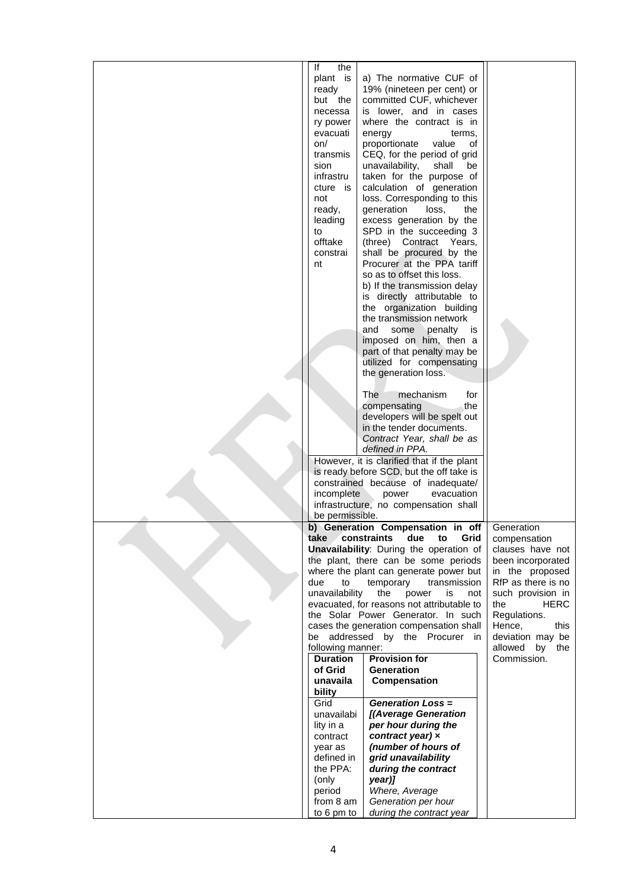| lf<br>the         |                                                          |                      |
|-------------------|----------------------------------------------------------|----------------------|
|                   | a) The normative CUF of                                  |                      |
| plant is          |                                                          |                      |
| ready             | 19% (nineteen per cent) or                               |                      |
| but the           | committed CUF, whichever                                 |                      |
| necessa           | is lower, and in cases                                   |                      |
| ry power          | where the contract is in                                 |                      |
| evacuati          | energy<br>terms,                                         |                      |
| on/               | proportionate<br>value<br>of                             |                      |
| transmis          | CEQ, for the period of grid                              |                      |
| sion              | unavailability,<br>be<br>shall                           |                      |
| infrastru         | taken for the purpose of                                 |                      |
| cture is          | calculation of generation                                |                      |
| not               | loss. Corresponding to this                              |                      |
| ready,            | generation<br>loss,<br>the                               |                      |
| leading           | excess generation by the                                 |                      |
| to                | SPD in the succeeding 3                                  |                      |
| offtake           | (three) Contract Years,                                  |                      |
| constrai          | shall be procured by the                                 |                      |
| nt                | Procurer at the PPA tariff                               |                      |
|                   | so as to offset this loss.                               |                      |
|                   | b) If the transmission delay                             |                      |
|                   | is directly attributable to                              |                      |
|                   | the organization building                                |                      |
|                   | the transmission network                                 |                      |
|                   | and<br>some penalty is                                   |                      |
|                   | imposed on him, then a                                   |                      |
|                   |                                                          |                      |
|                   | part of that penalty may be<br>utilized for compensating |                      |
|                   | the generation loss.                                     |                      |
|                   |                                                          |                      |
|                   | <b>The</b><br>mechanism<br>for                           |                      |
|                   | the<br>compensating                                      |                      |
|                   | developers will be spelt out                             |                      |
|                   | in the tender documents.                                 |                      |
|                   |                                                          |                      |
|                   | Contract Year, shall be as<br>defined in PPA.            |                      |
|                   | However, it is clarified that if the plant               |                      |
|                   | is ready before SCD, but the off take is                 |                      |
|                   | constrained because of inadequate/                       |                      |
| incomplete        | evacuation<br>power                                      |                      |
|                   | infrastructure, no compensation shall                    |                      |
| be permissible.   |                                                          |                      |
|                   | b) Generation Compensation in off                        | Generation           |
| take              | constraints<br>due<br>Grid<br>to                         | compensation         |
|                   | Unavailability: During the operation of                  | clauses have not     |
|                   | the plant, there can be some periods                     | been incorporated    |
|                   | where the plant can generate power but                   | in the proposed      |
| due<br>to         | temporary<br>transmission                                | RfP as there is no   |
| unavailability    | the<br>power<br>is<br>not                                | such provision in    |
|                   | evacuated, for reasons not attributable to               | the<br><b>HERC</b>   |
|                   | the Solar Power Generator. In such                       | Regulations.         |
|                   | cases the generation compensation shall                  | Hence,<br>this       |
| be                | addressed by the Procurer in                             | deviation may be     |
| following manner: |                                                          | allowed<br>by<br>the |
| <b>Duration</b>   | <b>Provision for</b>                                     | Commission.          |
| of Grid           | <b>Generation</b>                                        |                      |
| unavaila          | Compensation                                             |                      |
| bility            |                                                          |                      |
| Grid              | <b>Generation Loss =</b>                                 |                      |
| unavailabi        | [(Average Generation                                     |                      |
| lity in a         | per hour during the                                      |                      |
| contract          | contract year) x                                         |                      |
| year as           | (number of hours of                                      |                      |
| defined in        | grid unavailability                                      |                      |
| the PPA:          | during the contract                                      |                      |
| (only             | year)]                                                   |                      |
| period            | Where, Average                                           |                      |
| from 8 am         | Generation per hour                                      |                      |
| to 6 pm to        | during the contract year                                 |                      |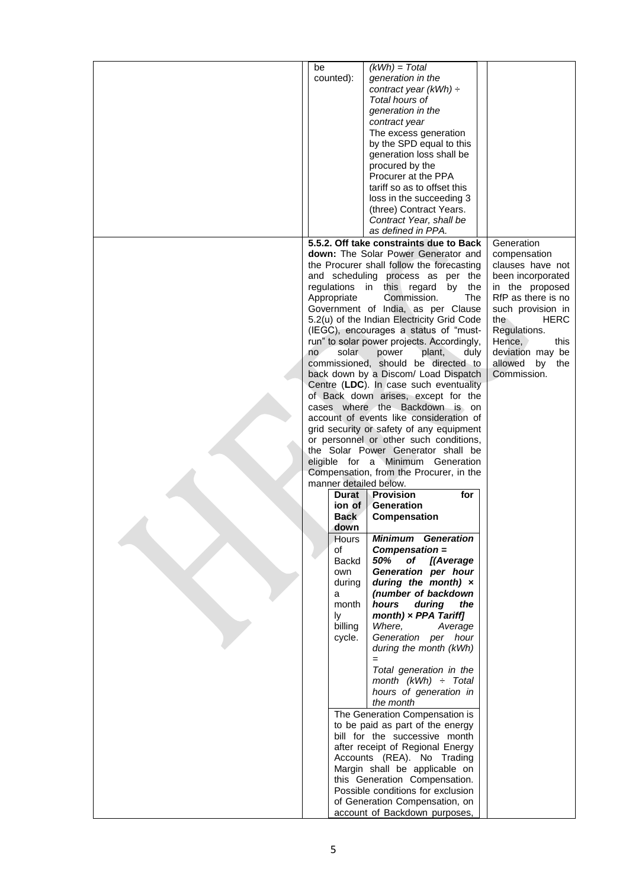| be |                | $(kWh) = Total$                                                   |                      |
|----|----------------|-------------------------------------------------------------------|----------------------|
|    | counted):      | generation in the                                                 |                      |
|    |                | contract year ( $kWh$ ) ÷                                         |                      |
|    |                | Total hours of                                                    |                      |
|    |                | generation in the                                                 |                      |
|    |                | contract year                                                     |                      |
|    |                | The excess generation                                             |                      |
|    |                | by the SPD equal to this                                          |                      |
|    |                | generation loss shall be                                          |                      |
|    |                | procured by the                                                   |                      |
|    |                | Procurer at the PPA                                               |                      |
|    |                | tariff so as to offset this                                       |                      |
|    |                | loss in the succeeding 3                                          |                      |
|    |                | (three) Contract Years.                                           |                      |
|    |                | Contract Year, shall be                                           |                      |
|    |                | as defined in PPA.                                                |                      |
|    |                | 5.5.2. Off take constraints due to Back                           | Generation           |
|    |                | down: The Solar Power Generator and                               | compensation         |
|    |                | the Procurer shall follow the forecasting                         | clauses have not     |
|    |                | and scheduling process as per the                                 | been incorporated    |
|    |                | regulations in this regard<br>by<br>the                           | in the proposed      |
|    | Appropriate    | The<br>Commission.                                                | RfP as there is no   |
|    |                | Government of India, as per Clause                                | such provision in    |
|    |                | 5.2(u) of the Indian Electricity Grid Code                        | the<br><b>HERC</b>   |
|    |                | (IEGC), encourages a status of "must-                             | Regulations.         |
|    |                | run" to solar power projects. Accordingly,                        | Hence,<br>this       |
| no | solar          | plant,<br>power<br>duly                                           | deviation may be     |
|    |                | commissioned, should be directed to                               | allowed<br>by<br>the |
|    |                | back down by a Discom/ Load Dispatch                              | Commission.          |
|    |                | Centre (LDC). In case such eventuality                            |                      |
|    |                | of Back down arises, except for the                               |                      |
|    |                | cases where the Backdown is on                                    |                      |
|    |                | account of events like consideration of                           |                      |
|    |                | grid security or safety of any equipment                          |                      |
|    |                | or personnel or other such conditions,                            |                      |
|    |                | the Solar Power Generator shall be                                |                      |
|    |                | eligible for a Minimum Generation                                 |                      |
|    |                | Compensation, from the Procurer, in the                           |                      |
|    |                | manner detailed below.                                            |                      |
|    | Durat          | Provision<br>for                                                  |                      |
|    | ion of<br>Back | Generation<br>Compensation                                        |                      |
|    | down           |                                                                   |                      |
|    | Hours          | <b>Minimum Generation</b>                                         |                      |
|    | οf             | Compensation =                                                    |                      |
|    | Backd          | 50%<br>of<br>[(Average                                            |                      |
|    | own            | Generation per hour                                               |                      |
|    | during         | during the month) $\times$                                        |                      |
|    | a              | (number of backdown                                               |                      |
|    | month          | hours<br>during<br>the                                            |                      |
|    | ly             | month) $\times$ PPA Tariff]                                       |                      |
|    | billing        | Where,<br>Average                                                 |                      |
|    | cycle.         | Generation per hour                                               |                      |
|    |                | during the month (kWh)                                            |                      |
|    |                |                                                                   |                      |
|    |                | Total generation in the                                           |                      |
|    |                | month (kWh) $\div$ Total                                          |                      |
|    |                | hours of generation in                                            |                      |
|    |                | the month                                                         |                      |
|    |                | The Generation Compensation is                                    |                      |
|    |                | to be paid as part of the energy<br>bill for the successive month |                      |
|    |                | after receipt of Regional Energy                                  |                      |
|    |                | Accounts (REA). No Trading                                        |                      |
|    |                | Margin shall be applicable on                                     |                      |
|    |                | this Generation Compensation.                                     |                      |
|    |                | Possible conditions for exclusion                                 |                      |
|    |                | of Generation Compensation, on                                    |                      |
|    |                | account of Backdown purposes,                                     |                      |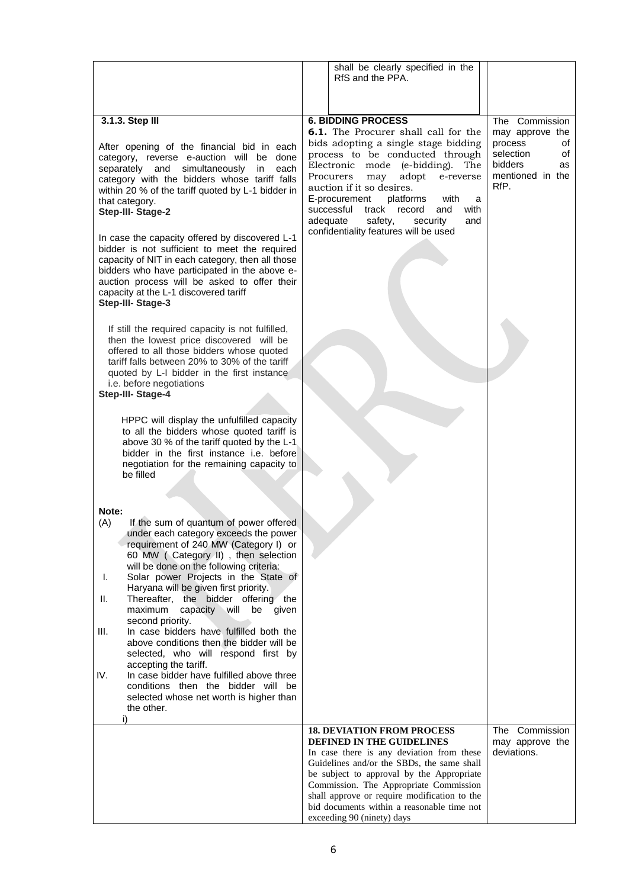|                                                                                                                                                                                                                                                                                                                                        | shall be clearly specified in the<br>RfS and the PPA.                                                                                                                                                                                                                                                                                                                                                              |                                                                                                  |
|----------------------------------------------------------------------------------------------------------------------------------------------------------------------------------------------------------------------------------------------------------------------------------------------------------------------------------------|--------------------------------------------------------------------------------------------------------------------------------------------------------------------------------------------------------------------------------------------------------------------------------------------------------------------------------------------------------------------------------------------------------------------|--------------------------------------------------------------------------------------------------|
|                                                                                                                                                                                                                                                                                                                                        |                                                                                                                                                                                                                                                                                                                                                                                                                    |                                                                                                  |
| 3.1.3. Step III                                                                                                                                                                                                                                                                                                                        | <b>6. BIDDING PROCESS</b>                                                                                                                                                                                                                                                                                                                                                                                          | The Commission                                                                                   |
| After opening of the financial bid in each<br>category, reverse e-auction will be done<br>separately and<br>simultaneously<br>each<br>in<br>category with the bidders whose tariff falls<br>within 20 % of the tariff quoted by L-1 bidder in<br>that category.<br>Step-III- Stage-2<br>In case the capacity offered by discovered L-1 | <b>6.1.</b> The Procurer shall call for the<br>bids adopting a single stage bidding<br>process to be conducted through<br>Electronic mode (e-bidding).<br>The<br>adopt<br>Procurers<br>e-reverse<br>may<br>auction if it so desires.<br>E-procurement<br>platforms<br>with<br>a<br>with<br>successful<br>track<br>record<br>and<br>adequate<br>safety,<br>security<br>and<br>confidentiality features will be used | may approve the<br>process<br>οf<br>selection<br>οf<br>bidders<br>as<br>mentioned in the<br>RfP. |
| bidder is not sufficient to meet the required<br>capacity of NIT in each category, then all those<br>bidders who have participated in the above e-<br>auction process will be asked to offer their<br>capacity at the L-1 discovered tariff<br>Step-III- Stage-3                                                                       |                                                                                                                                                                                                                                                                                                                                                                                                                    |                                                                                                  |
| If still the required capacity is not fulfilled,<br>then the lowest price discovered will be<br>offered to all those bidders whose quoted<br>tariff falls between 20% to 30% of the tariff<br>quoted by L-I bidder in the first instance<br>i.e. before negotiations<br>Step-III- Stage-4                                              |                                                                                                                                                                                                                                                                                                                                                                                                                    |                                                                                                  |
| HPPC will display the unfulfilled capacity<br>to all the bidders whose quoted tariff is<br>above 30 % of the tariff quoted by the L-1<br>bidder in the first instance i.e. before<br>negotiation for the remaining capacity to<br>be filled                                                                                            |                                                                                                                                                                                                                                                                                                                                                                                                                    |                                                                                                  |
| Note:<br>(A)<br>If the sum of quantum of power offered                                                                                                                                                                                                                                                                                 |                                                                                                                                                                                                                                                                                                                                                                                                                    |                                                                                                  |
| under each category exceeds the power<br>requirement of 240 MW (Category I) or<br>60 MW (Category II), then selection<br>will be done on the following criteria:                                                                                                                                                                       |                                                                                                                                                                                                                                                                                                                                                                                                                    |                                                                                                  |
| Solar power Projects in the State of<br>I.<br>Haryana will be given first priority.<br>Thereafter, the bidder offering the<br>Ш.<br>maximum<br>capacity<br>will<br>be<br>given                                                                                                                                                         |                                                                                                                                                                                                                                                                                                                                                                                                                    |                                                                                                  |
| second priority.<br>In case bidders have fulfilled both the<br>III.<br>above conditions then the bidder will be<br>selected, who will respond first by                                                                                                                                                                                 |                                                                                                                                                                                                                                                                                                                                                                                                                    |                                                                                                  |
| accepting the tariff.<br>IV.<br>In case bidder have fulfilled above three<br>conditions then the bidder will be<br>selected whose net worth is higher than<br>the other.<br>i)                                                                                                                                                         |                                                                                                                                                                                                                                                                                                                                                                                                                    |                                                                                                  |
|                                                                                                                                                                                                                                                                                                                                        | <b>18. DEVIATION FROM PROCESS</b><br>DEFINED IN THE GUIDELINES<br>In case there is any deviation from these<br>Guidelines and/or the SBDs, the same shall<br>be subject to approval by the Appropriate<br>Commission. The Appropriate Commission<br>shall approve or require modification to the<br>bid documents within a reasonable time not<br>exceeding 90 (ninety) days                                       | The Commission<br>may approve the<br>deviations.                                                 |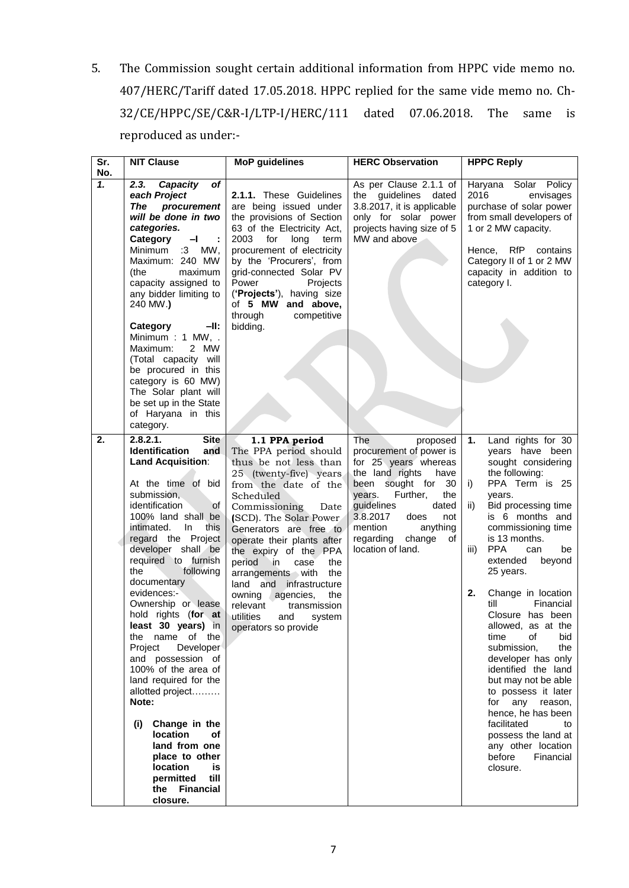5. The Commission sought certain additional information from HPPC vide memo no. 407/HERC/Tariff dated 17.05.2018. HPPC replied for the same vide memo no. Ch-32/CE/HPPC/SE/C&R-I/LTP-I/HERC/111 dated 07.06.2018. The same is reproduced as under:-

| Sr.<br>No. | <b>NIT Clause</b>                                                                                                                                                                                                                                                                                                                                                                                                                                                                                                                                                                                                                                                                                                    | <b>MoP</b> guidelines                                                                                                                                                                                                                                                                                                                                                                                                                                                  | <b>HERC Observation</b>                                                                                                                                                                                                                                                        | <b>HPPC Reply</b>                                                                                                                                                                                                                                                                                                                                                                                                                                                                                                                                                                                                                                                     |
|------------|----------------------------------------------------------------------------------------------------------------------------------------------------------------------------------------------------------------------------------------------------------------------------------------------------------------------------------------------------------------------------------------------------------------------------------------------------------------------------------------------------------------------------------------------------------------------------------------------------------------------------------------------------------------------------------------------------------------------|------------------------------------------------------------------------------------------------------------------------------------------------------------------------------------------------------------------------------------------------------------------------------------------------------------------------------------------------------------------------------------------------------------------------------------------------------------------------|--------------------------------------------------------------------------------------------------------------------------------------------------------------------------------------------------------------------------------------------------------------------------------|-----------------------------------------------------------------------------------------------------------------------------------------------------------------------------------------------------------------------------------------------------------------------------------------------------------------------------------------------------------------------------------------------------------------------------------------------------------------------------------------------------------------------------------------------------------------------------------------------------------------------------------------------------------------------|
| 1.         | 2.3.<br>Capacity<br>of<br>each Project<br>The<br>procurement<br>will be done in two<br>categories.<br>Category<br>$-1$<br>Minimum<br>:3<br>MW,<br>Maximum: 240 MW<br>maximum<br>(the<br>capacity assigned to<br>any bidder limiting to<br>240 MW.)<br>Category<br>-II:<br>Minimum: 1 MW, .<br>Maximum:<br>2 MW<br>(Total capacity will<br>be procured in this<br>category is 60 MW)<br>The Solar plant will<br>be set up in the State<br>of Haryana in this                                                                                                                                                                                                                                                          | 2.1.1. These Guidelines<br>are being issued under<br>the provisions of Section<br>63 of the Electricity Act,<br>2003 for<br>long<br>term<br>procurement of electricity<br>by the 'Procurers', from<br>grid-connected Solar PV<br>Power<br>Projects<br>('Projects'), having size<br>of 5 MW and above,<br>through<br>competitive<br>bidding.                                                                                                                            | As per Clause 2.1.1 of<br>the guidelines dated<br>3.8.2017, it is applicable<br>only for solar power<br>projects having size of 5<br>MW and above                                                                                                                              | Haryana Solar Policy<br>2016<br>envisages<br>purchase of solar power<br>from small developers of<br>1 or 2 MW capacity.<br>Hence,<br>RfP<br>contains<br>Category II of 1 or 2 MW<br>capacity in addition to<br>category I.                                                                                                                                                                                                                                                                                                                                                                                                                                            |
| 2.         | category.<br>2.8.2.1.<br><b>Site</b><br><b>Identification</b><br>and<br>Land Acquisition:<br>At the time of bid<br>submission,<br>identification<br><b>of</b><br>100% land shall be<br>intimated.<br>In.<br>this<br>regard the Project<br>developer shall be<br>required to furnish<br>the<br>following<br>documentary<br>evidences:-<br>Ownership or lease<br>hold rights (for at<br>least 30 years) in<br>the name of the<br>Developer<br>Project<br>and possession of<br>100% of the area of<br>land required for the<br>allotted project<br>Note:<br>Change in the<br>(i)<br><b>location</b><br>οf<br>land from one<br>place to other<br><b>location</b><br>is<br>permitted<br>till<br>the Financial<br>closure. | 1.1 PPA period<br>The PPA period should<br>thus be not less than<br>25 (twenty-five) years<br>from the date of the<br>Scheduled<br>Commissioning<br>Date<br>(SCD). The Solar Power<br>Generators are free to<br>operate their plants after<br>the expiry of the PPA<br>period in<br>case<br>the<br>arrangements with<br>the<br>land and<br>infrastructure<br>owning agencies,<br>the<br>relevant<br>transmission<br>utilities<br>system<br>and<br>operators so provide | The<br>proposed<br>procurement of power is<br>for 25 years whereas<br>the land rights<br>have<br>been sought for<br>30<br>years.<br>Further,<br>the<br>guidelines<br>dated<br>3.8.2017<br>does<br>not<br>mention<br>anything<br>regarding<br>change<br>оf<br>location of land. | Land rights for 30<br>1.<br>years have been<br>sought considering<br>the following:<br>PPA Term is 25<br>i)<br>years.<br>Bid processing time<br>ii)<br>is 6 months and<br>commissioning time<br>is 13 months.<br><b>PPA</b><br>iii)<br>can<br>be<br>extended<br>beyond<br>25 years.<br>2.<br>Change in location<br>till<br>Financial<br>Closure has been<br>allowed, as at the<br>bid<br>time<br>οf<br>submission,<br>the<br>developer has only<br>identified the land<br>but may not be able<br>to possess it later<br>any reason,<br>for<br>hence, he has been<br>facilitated<br>to<br>possess the land at<br>any other location<br>before<br>Financial<br>closure. |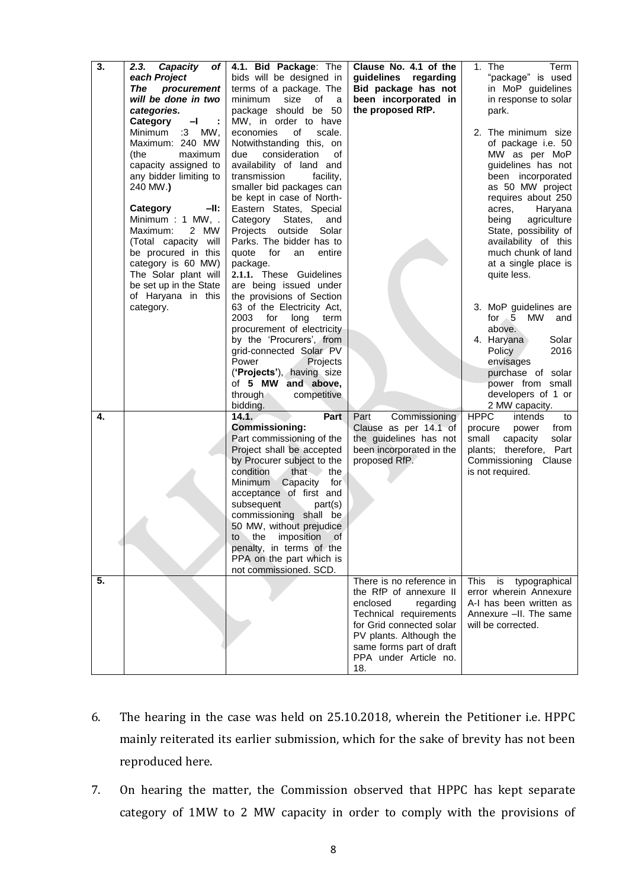| 3. | Capacity<br>2.3.<br>of I<br>each Project<br><b>The</b><br>procurement<br>will be done in two<br>categories.<br>Category<br>—I                                                                                                                                                                              | 4.1. Bid Package: The<br>bids will be designed in<br>terms of a package. The<br>size<br>of<br>minimum<br>a<br>package should be 50<br>MW, in order to have                                                                                                                                                                                                                                                               | Clause No. 4.1 of the<br>guidelines regarding<br>Bid package has not<br>been incorporated in<br>the proposed RfP.                                                                                                        | 1. The<br>Term<br>"package" is used<br>in MoP guidelines<br>in response to solar<br>park.                                                                                                                                                                                                                  |
|----|------------------------------------------------------------------------------------------------------------------------------------------------------------------------------------------------------------------------------------------------------------------------------------------------------------|--------------------------------------------------------------------------------------------------------------------------------------------------------------------------------------------------------------------------------------------------------------------------------------------------------------------------------------------------------------------------------------------------------------------------|--------------------------------------------------------------------------------------------------------------------------------------------------------------------------------------------------------------------------|------------------------------------------------------------------------------------------------------------------------------------------------------------------------------------------------------------------------------------------------------------------------------------------------------------|
|    | Minimum<br>$:3$ MW,<br>Maximum: 240 MW<br>maximum<br>(the<br>capacity assigned to<br>any bidder limiting to<br>240 MW.)<br>Category<br>-II:<br>Minimum: 1 MW, .<br>2 MW<br>Maximum:<br>(Total capacity will<br>be procured in this<br>category is 60 MW)<br>The Solar plant will<br>be set up in the State | economies<br>οf<br>scale.<br>Notwithstanding this, on<br>consideration<br>due<br>οf<br>availability of land and<br>transmission<br>facility,<br>smaller bid packages can<br>be kept in case of North-<br>Eastern States, Special<br>Category States,<br>and<br>Projects<br>outside<br>Solar<br>Parks. The bidder has to<br>quote for<br>entire<br>an<br>package.<br>2.1.1. These Guidelines<br>are being issued under    |                                                                                                                                                                                                                          | 2. The minimum size<br>of package i.e. 50<br>MW as per MoP<br>guidelines has not<br>been incorporated<br>as 50 MW project<br>requires about 250<br>Haryana<br>acres,<br>being<br>agriculture<br>State, possibility of<br>availability of this<br>much chunk of land<br>at a single place is<br>quite less. |
|    | of Haryana in this<br>category.                                                                                                                                                                                                                                                                            | the provisions of Section<br>63 of the Electricity Act,<br>2003<br>for<br>long<br>term<br>procurement of electricity<br>by the 'Procurers', from<br>grid-connected Solar PV<br>Power<br>Projects<br>('Projects'), having size<br>of 5 MW and above,<br>through<br>competitive<br>bidding.                                                                                                                                |                                                                                                                                                                                                                          | 3. MoP guidelines are<br>for 5 MW<br>and<br>above.<br>4. Haryana<br>Solar<br>Policy<br>2016<br>envisages<br>purchase of solar<br>power from small<br>developers of 1 or<br>2 MW capacity.                                                                                                                  |
| 4. |                                                                                                                                                                                                                                                                                                            | 14.1.<br>Part<br><b>Commissioning:</b><br>Part commissioning of the<br>Project shall be accepted<br>by Procurer subject to the<br>condition<br>that<br>the<br>Minimum<br>Capacity<br>for<br>acceptance of first and<br>subsequent<br>part(s)<br>shall be<br>commissioning<br>50 MW, without prejudice<br>the<br>imposition<br>of<br>to<br>penalty, in terms of the<br>PPA on the part which is<br>not commissioned. SCD. | Commissioning<br>Part<br>Clause as per 14.1 of<br>the guidelines has not<br>been incorporated in the<br>proposed RfP.                                                                                                    | <b>HPPC</b><br>intends<br>to<br>from<br>procure<br>power<br>small<br>capacity<br>solar<br>plants; therefore, Part<br>Commissioning Clause<br>is not required.                                                                                                                                              |
| 5. |                                                                                                                                                                                                                                                                                                            |                                                                                                                                                                                                                                                                                                                                                                                                                          | There is no reference in<br>the RfP of annexure II<br>enclosed<br>regarding<br>Technical requirements<br>for Grid connected solar<br>PV plants. Although the<br>same forms part of draft<br>PPA under Article no.<br>18. | This<br>is<br>typographical<br>error wherein Annexure<br>A-I has been written as<br>Annexure -II. The same<br>will be corrected.                                                                                                                                                                           |

- 6. The hearing in the case was held on 25.10.2018, wherein the Petitioner i.e. HPPC mainly reiterated its earlier submission, which for the sake of brevity has not been reproduced here.
- 7. On hearing the matter, the Commission observed that HPPC has kept separate category of 1MW to 2 MW capacity in order to comply with the provisions of